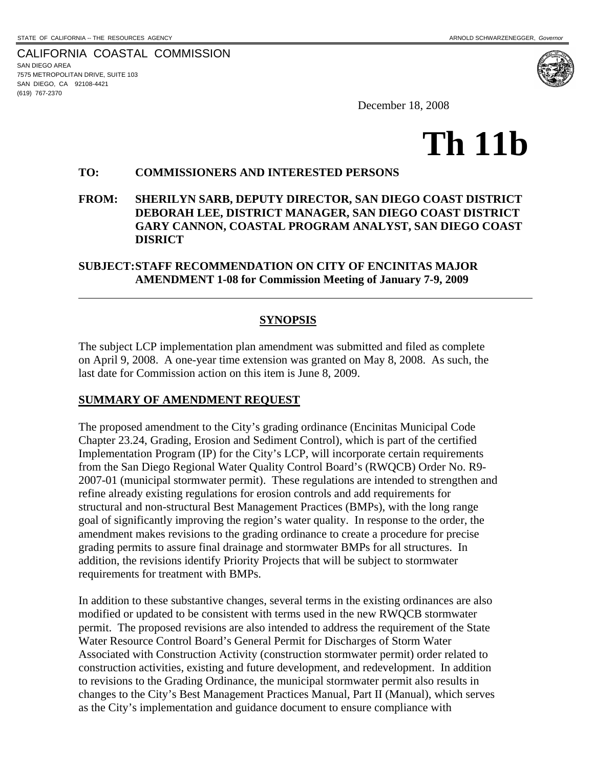$\overline{a}$ 

CALIFORNIA COASTAL COMMISSION SAN DIEGO AREA 7575 METROPOLITAN DRIVE, SUITE 103 SAN DIEGO, CA 92108-4421 (619) 767-2370



December 18, 2008

# **Th 11b**

#### **TO: COMMISSIONERS AND INTERESTED PERSONS**

**FROM: SHERILYN SARB, DEPUTY DIRECTOR, SAN DIEGO COAST DISTRICT DEBORAH LEE, DISTRICT MANAGER, SAN DIEGO COAST DISTRICT GARY CANNON, COASTAL PROGRAM ANALYST, SAN DIEGO COAST DISRICT** 

## **SUBJECT: STAFF RECOMMENDATION ON CITY OF ENCINITAS MAJOR AMENDMENT 1-08 for Commission Meeting of January 7-9, 2009**

#### **SYNOPSIS**

The subject LCP implementation plan amendment was submitted and filed as complete on April 9, 2008. A one-year time extension was granted on May 8, 2008. As such, the last date for Commission action on this item is June 8, 2009.

#### **SUMMARY OF AMENDMENT REQUEST**

The proposed amendment to the City's grading ordinance (Encinitas Municipal Code Chapter 23.24, Grading, Erosion and Sediment Control), which is part of the certified Implementation Program (IP) for the City's LCP, will incorporate certain requirements from the San Diego Regional Water Quality Control Board's (RWQCB) Order No. R9- 2007-01 (municipal stormwater permit). These regulations are intended to strengthen and refine already existing regulations for erosion controls and add requirements for structural and non-structural Best Management Practices (BMPs), with the long range goal of significantly improving the region's water quality. In response to the order, the amendment makes revisions to the grading ordinance to create a procedure for precise grading permits to assure final drainage and stormwater BMPs for all structures. In addition, the revisions identify Priority Projects that will be subject to stormwater requirements for treatment with BMPs.

In addition to these substantive changes, several terms in the existing ordinances are also modified or updated to be consistent with terms used in the new RWQCB stormwater permit. The proposed revisions are also intended to address the requirement of the State Water Resource Control Board's General Permit for Discharges of Storm Water Associated with Construction Activity (construction stormwater permit) order related to construction activities, existing and future development, and redevelopment. In addition to revisions to the Grading Ordinance, the municipal stormwater permit also results in changes to the City's Best Management Practices Manual, Part II (Manual), which serves as the City's implementation and guidance document to ensure compliance with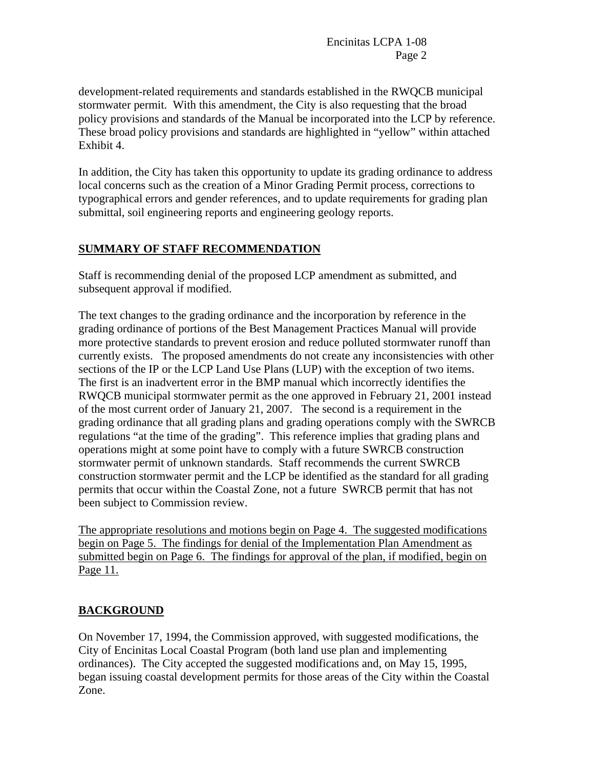development-related requirements and standards established in the RWQCB municipal stormwater permit. With this amendment, the City is also requesting that the broad policy provisions and standards of the Manual be incorporated into the LCP by reference. These broad policy provisions and standards are highlighted in "yellow" within attached Exhibit 4.

In addition, the City has taken this opportunity to update its grading ordinance to address local concerns such as the creation of a Minor Grading Permit process, corrections to typographical errors and gender references, and to update requirements for grading plan submittal, soil engineering reports and engineering geology reports.

#### **SUMMARY OF STAFF RECOMMENDATION**

Staff is recommending denial of the proposed LCP amendment as submitted, and subsequent approval if modified.

The text changes to the grading ordinance and the incorporation by reference in the grading ordinance of portions of the Best Management Practices Manual will provide more protective standards to prevent erosion and reduce polluted stormwater runoff than currently exists. The proposed amendments do not create any inconsistencies with other sections of the IP or the LCP Land Use Plans (LUP) with the exception of two items. The first is an inadvertent error in the BMP manual which incorrectly identifies the RWQCB municipal stormwater permit as the one approved in February 21, 2001 instead of the most current order of January 21, 2007. The second is a requirement in the grading ordinance that all grading plans and grading operations comply with the SWRCB regulations "at the time of the grading". This reference implies that grading plans and operations might at some point have to comply with a future SWRCB construction stormwater permit of unknown standards. Staff recommends the current SWRCB construction stormwater permit and the LCP be identified as the standard for all grading permits that occur within the Coastal Zone, not a future SWRCB permit that has not been subject to Commission review.

The appropriate resolutions and motions begin on Page 4. The suggested modifications begin on Page 5. The findings for denial of the Implementation Plan Amendment as submitted begin on Page 6. The findings for approval of the plan, if modified, begin on Page 11.

#### **BACKGROUND**

On November 17, 1994, the Commission approved, with suggested modifications, the City of Encinitas Local Coastal Program (both land use plan and implementing ordinances). The City accepted the suggested modifications and, on May 15, 1995, began issuing coastal development permits for those areas of the City within the Coastal Zone.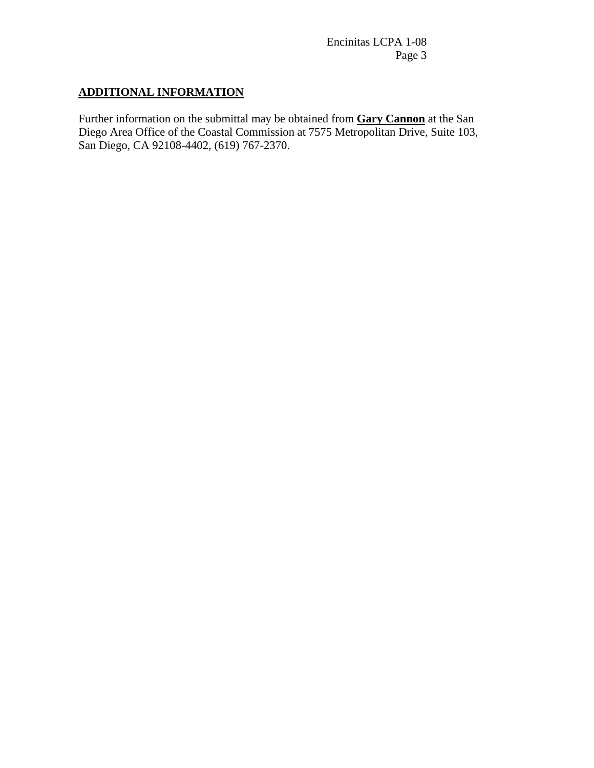# **ADDITIONAL INFORMATION**

Further information on the submittal may be obtained from **Gary Cannon** at the San Diego Area Office of the Coastal Commission at 7575 Metropolitan Drive, Suite 103, San Diego, CA 92108-4402, (619) 767-2370.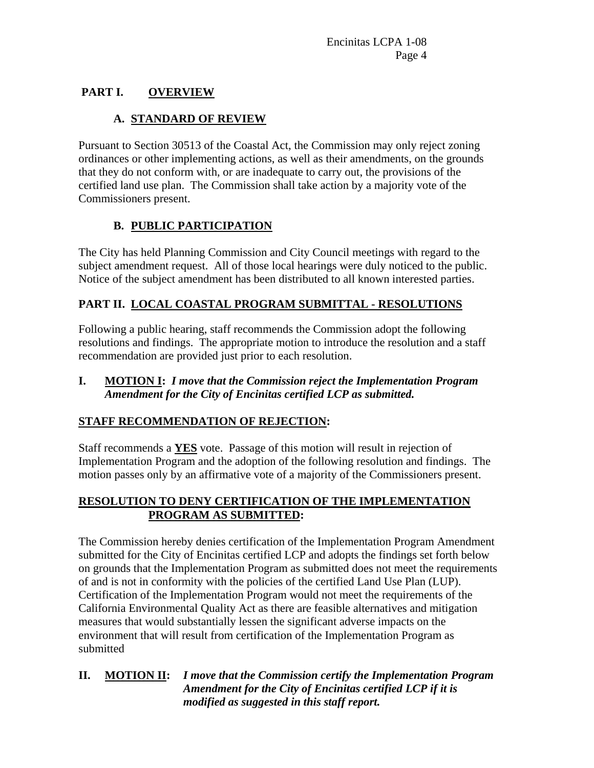# **PART I. OVERVIEW**

# **A. STANDARD OF REVIEW**

Pursuant to Section 30513 of the Coastal Act, the Commission may only reject zoning ordinances or other implementing actions, as well as their amendments, on the grounds that they do not conform with, or are inadequate to carry out, the provisions of the certified land use plan. The Commission shall take action by a majority vote of the Commissioners present.

# **B. PUBLIC PARTICIPATION**

The City has held Planning Commission and City Council meetings with regard to the subject amendment request. All of those local hearings were duly noticed to the public. Notice of the subject amendment has been distributed to all known interested parties.

# **PART II. LOCAL COASTAL PROGRAM SUBMITTAL - RESOLUTIONS**

Following a public hearing, staff recommends the Commission adopt the following resolutions and findings. The appropriate motion to introduce the resolution and a staff recommendation are provided just prior to each resolution.

**I. MOTION I:** *I move that the Commission reject the Implementation Program Amendment for the City of Encinitas certified LCP as submitted.* 

# **STAFF RECOMMENDATION OF REJECTION:**

Staff recommends a **YES** vote. Passage of this motion will result in rejection of Implementation Program and the adoption of the following resolution and findings. The motion passes only by an affirmative vote of a majority of the Commissioners present.

# **RESOLUTION TO DENY CERTIFICATION OF THE IMPLEMENTATION PROGRAM AS SUBMITTED:**

The Commission hereby denies certification of the Implementation Program Amendment submitted for the City of Encinitas certified LCP and adopts the findings set forth below on grounds that the Implementation Program as submitted does not meet the requirements of and is not in conformity with the policies of the certified Land Use Plan (LUP). Certification of the Implementation Program would not meet the requirements of the California Environmental Quality Act as there are feasible alternatives and mitigation measures that would substantially lessen the significant adverse impacts on the environment that will result from certification of the Implementation Program as submitted

# **II. MOTION II:** *I move that the Commission certify the Implementation Program Amendment for the City of Encinitas certified LCP if it is modified as suggested in this staff report.*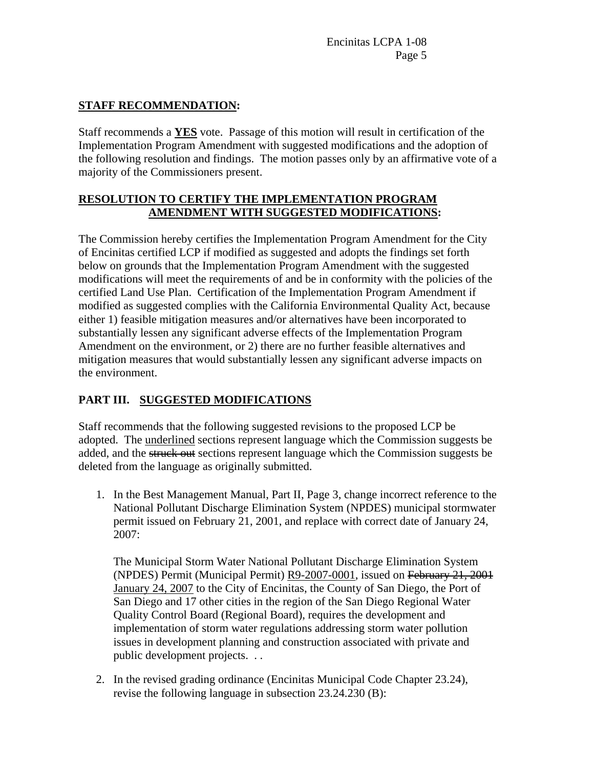# **STAFF RECOMMENDATION:**

Staff recommends a **YES** vote. Passage of this motion will result in certification of the Implementation Program Amendment with suggested modifications and the adoption of the following resolution and findings. The motion passes only by an affirmative vote of a majority of the Commissioners present.

#### **RESOLUTION TO CERTIFY THE IMPLEMENTATION PROGRAM AMENDMENT WITH SUGGESTED MODIFICATIONS:**

The Commission hereby certifies the Implementation Program Amendment for the City of Encinitas certified LCP if modified as suggested and adopts the findings set forth below on grounds that the Implementation Program Amendment with the suggested modifications will meet the requirements of and be in conformity with the policies of the certified Land Use Plan. Certification of the Implementation Program Amendment if modified as suggested complies with the California Environmental Quality Act, because either 1) feasible mitigation measures and/or alternatives have been incorporated to substantially lessen any significant adverse effects of the Implementation Program Amendment on the environment, or 2) there are no further feasible alternatives and mitigation measures that would substantially lessen any significant adverse impacts on the environment.

# **PART III. SUGGESTED MODIFICATIONS**

Staff recommends that the following suggested revisions to the proposed LCP be adopted. The underlined sections represent language which the Commission suggests be added, and the struck out sections represent language which the Commission suggests be deleted from the language as originally submitted.

1. In the Best Management Manual, Part II, Page 3, change incorrect reference to the National Pollutant Discharge Elimination System (NPDES) municipal stormwater permit issued on February 21, 2001, and replace with correct date of January 24, 2007:

The Municipal Storm Water National Pollutant Discharge Elimination System (NPDES) Permit (Municipal Permit) R9-2007-0001, issued on February 21, 2001 January 24, 2007 to the City of Encinitas, the County of San Diego, the Port of San Diego and 17 other cities in the region of the San Diego Regional Water Quality Control Board (Regional Board), requires the development and implementation of storm water regulations addressing storm water pollution issues in development planning and construction associated with private and public development projects. . .

2. In the revised grading ordinance (Encinitas Municipal Code Chapter 23.24), revise the following language in subsection 23.24.230 (B):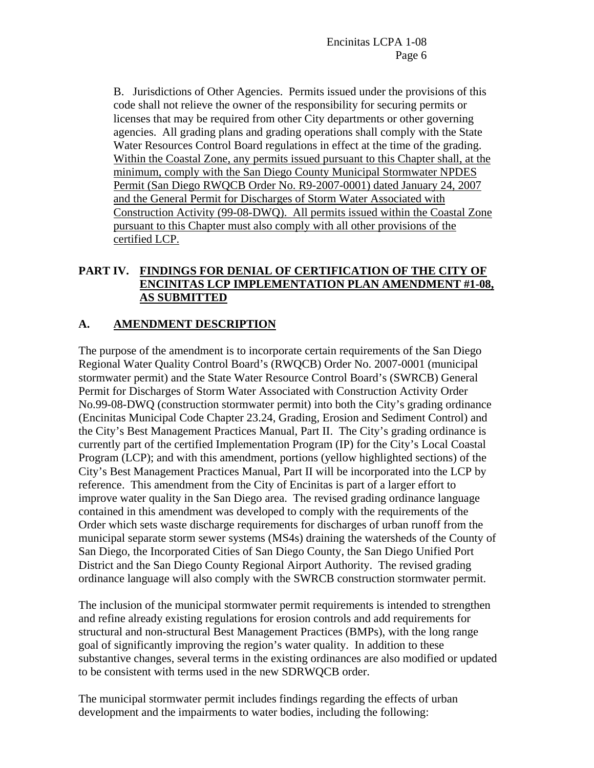B. Jurisdictions of Other Agencies. Permits issued under the provisions of this code shall not relieve the owner of the responsibility for securing permits or licenses that may be required from other City departments or other governing agencies. All grading plans and grading operations shall comply with the State Water Resources Control Board regulations in effect at the time of the grading. Within the Coastal Zone, any permits issued pursuant to this Chapter shall, at the minimum, comply with the San Diego County Municipal Stormwater NPDES Permit (San Diego RWQCB Order No. R9-2007-0001) dated January 24, 2007 and the General Permit for Discharges of Storm Water Associated with Construction Activity (99-08-DWQ). All permits issued within the Coastal Zone pursuant to this Chapter must also comply with all other provisions of the certified LCP.

# **PART IV. FINDINGS FOR DENIAL OF CERTIFICATION OF THE CITY OF ENCINITAS LCP IMPLEMENTATION PLAN AMENDMENT #1-08, AS SUBMITTED**

# **A. AMENDMENT DESCRIPTION**

The purpose of the amendment is to incorporate certain requirements of the San Diego Regional Water Quality Control Board's (RWQCB) Order No. 2007-0001 (municipal stormwater permit) and the State Water Resource Control Board's (SWRCB) General Permit for Discharges of Storm Water Associated with Construction Activity Order No.99-08-DWQ (construction stormwater permit) into both the City's grading ordinance (Encinitas Municipal Code Chapter 23.24, Grading, Erosion and Sediment Control) and the City's Best Management Practices Manual, Part II. The City's grading ordinance is currently part of the certified Implementation Program (IP) for the City's Local Coastal Program (LCP); and with this amendment, portions (yellow highlighted sections) of the City's Best Management Practices Manual, Part II will be incorporated into the LCP by reference. This amendment from the City of Encinitas is part of a larger effort to improve water quality in the San Diego area. The revised grading ordinance language contained in this amendment was developed to comply with the requirements of the Order which sets waste discharge requirements for discharges of urban runoff from the municipal separate storm sewer systems (MS4s) draining the watersheds of the County of San Diego, the Incorporated Cities of San Diego County, the San Diego Unified Port District and the San Diego County Regional Airport Authority. The revised grading ordinance language will also comply with the SWRCB construction stormwater permit.

The inclusion of the municipal stormwater permit requirements is intended to strengthen and refine already existing regulations for erosion controls and add requirements for structural and non-structural Best Management Practices (BMPs), with the long range goal of significantly improving the region's water quality. In addition to these substantive changes, several terms in the existing ordinances are also modified or updated to be consistent with terms used in the new SDRWQCB order.

The municipal stormwater permit includes findings regarding the effects of urban development and the impairments to water bodies, including the following: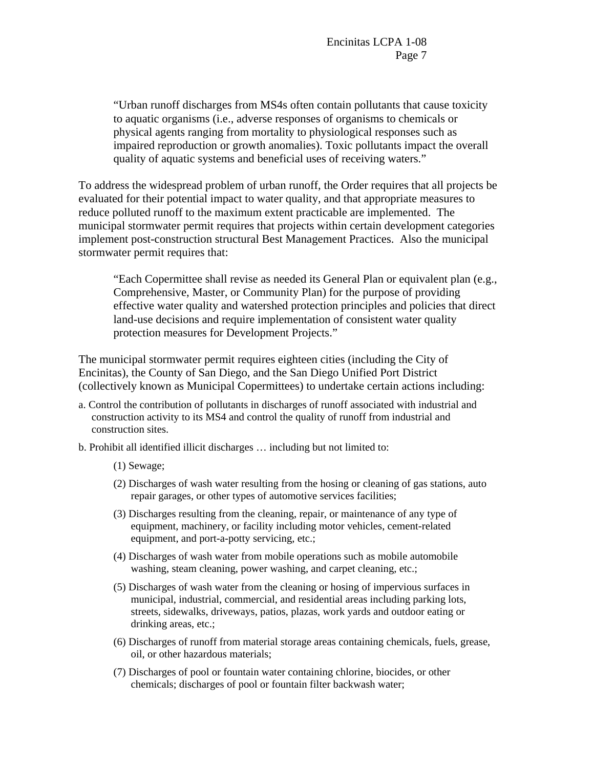"Urban runoff discharges from MS4s often contain pollutants that cause toxicity to aquatic organisms (i.e., adverse responses of organisms to chemicals or physical agents ranging from mortality to physiological responses such as impaired reproduction or growth anomalies). Toxic pollutants impact the overall quality of aquatic systems and beneficial uses of receiving waters."

To address the widespread problem of urban runoff, the Order requires that all projects be evaluated for their potential impact to water quality, and that appropriate measures to reduce polluted runoff to the maximum extent practicable are implemented. The municipal stormwater permit requires that projects within certain development categories implement post-construction structural Best Management Practices. Also the municipal stormwater permit requires that:

"Each Copermittee shall revise as needed its General Plan or equivalent plan (e.g., Comprehensive, Master, or Community Plan) for the purpose of providing effective water quality and watershed protection principles and policies that direct land-use decisions and require implementation of consistent water quality protection measures for Development Projects."

The municipal stormwater permit requires eighteen cities (including the City of Encinitas), the County of San Diego, and the San Diego Unified Port District (collectively known as Municipal Copermittees) to undertake certain actions including:

- a. Control the contribution of pollutants in discharges of runoff associated with industrial and construction activity to its MS4 and control the quality of runoff from industrial and construction sites.
- b. Prohibit all identified illicit discharges … including but not limited to:
	- (1) Sewage;
	- (2) Discharges of wash water resulting from the hosing or cleaning of gas stations, auto repair garages, or other types of automotive services facilities;
	- (3) Discharges resulting from the cleaning, repair, or maintenance of any type of equipment, machinery, or facility including motor vehicles, cement-related equipment, and port-a-potty servicing, etc.;
	- (4) Discharges of wash water from mobile operations such as mobile automobile washing, steam cleaning, power washing, and carpet cleaning, etc.;
	- (5) Discharges of wash water from the cleaning or hosing of impervious surfaces in municipal, industrial, commercial, and residential areas including parking lots, streets, sidewalks, driveways, patios, plazas, work yards and outdoor eating or drinking areas, etc.;
	- (6) Discharges of runoff from material storage areas containing chemicals, fuels, grease, oil, or other hazardous materials;
	- (7) Discharges of pool or fountain water containing chlorine, biocides, or other chemicals; discharges of pool or fountain filter backwash water;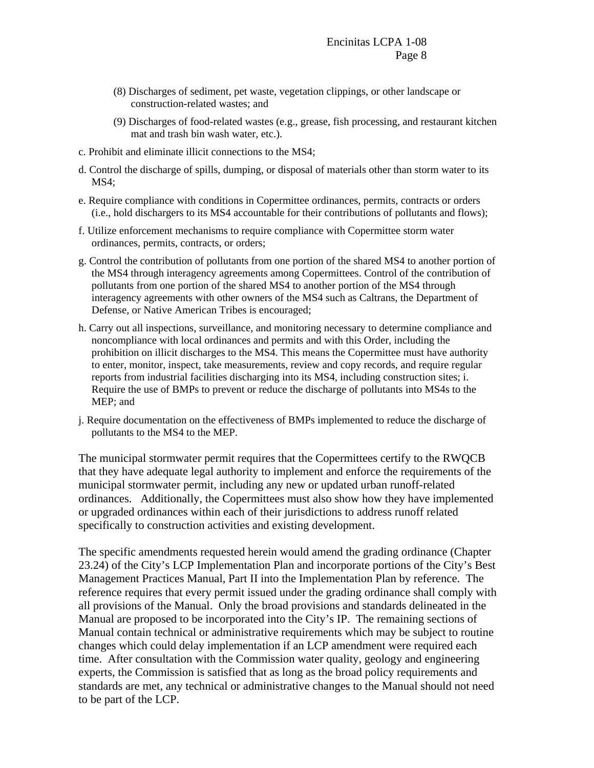- (8) Discharges of sediment, pet waste, vegetation clippings, or other landscape or construction-related wastes; and
- (9) Discharges of food-related wastes (e.g., grease, fish processing, and restaurant kitchen mat and trash bin wash water, etc.).
- c. Prohibit and eliminate illicit connections to the MS4;
- d. Control the discharge of spills, dumping, or disposal of materials other than storm water to its MS4;
- e. Require compliance with conditions in Copermittee ordinances, permits, contracts or orders (i.e., hold dischargers to its MS4 accountable for their contributions of pollutants and flows);
- f. Utilize enforcement mechanisms to require compliance with Copermittee storm water ordinances, permits, contracts, or orders;
- g. Control the contribution of pollutants from one portion of the shared MS4 to another portion of the MS4 through interagency agreements among Copermittees. Control of the contribution of pollutants from one portion of the shared MS4 to another portion of the MS4 through interagency agreements with other owners of the MS4 such as Caltrans, the Department of Defense, or Native American Tribes is encouraged;
- h. Carry out all inspections, surveillance, and monitoring necessary to determine compliance and noncompliance with local ordinances and permits and with this Order, including the prohibition on illicit discharges to the MS4. This means the Copermittee must have authority to enter, monitor, inspect, take measurements, review and copy records, and require regular reports from industrial facilities discharging into its MS4, including construction sites; i. Require the use of BMPs to prevent or reduce the discharge of pollutants into MS4s to the MEP; and
- j. Require documentation on the effectiveness of BMPs implemented to reduce the discharge of pollutants to the MS4 to the MEP.

The municipal stormwater permit requires that the Copermittees certify to the RWQCB that they have adequate legal authority to implement and enforce the requirements of the municipal stormwater permit, including any new or updated urban runoff-related ordinances. Additionally, the Copermittees must also show how they have implemented or upgraded ordinances within each of their jurisdictions to address runoff related specifically to construction activities and existing development.

The specific amendments requested herein would amend the grading ordinance (Chapter 23.24) of the City's LCP Implementation Plan and incorporate portions of the City's Best Management Practices Manual, Part II into the Implementation Plan by reference. The reference requires that every permit issued under the grading ordinance shall comply with all provisions of the Manual. Only the broad provisions and standards delineated in the Manual are proposed to be incorporated into the City's IP. The remaining sections of Manual contain technical or administrative requirements which may be subject to routine changes which could delay implementation if an LCP amendment were required each time. After consultation with the Commission water quality, geology and engineering experts, the Commission is satisfied that as long as the broad policy requirements and standards are met, any technical or administrative changes to the Manual should not need to be part of the LCP.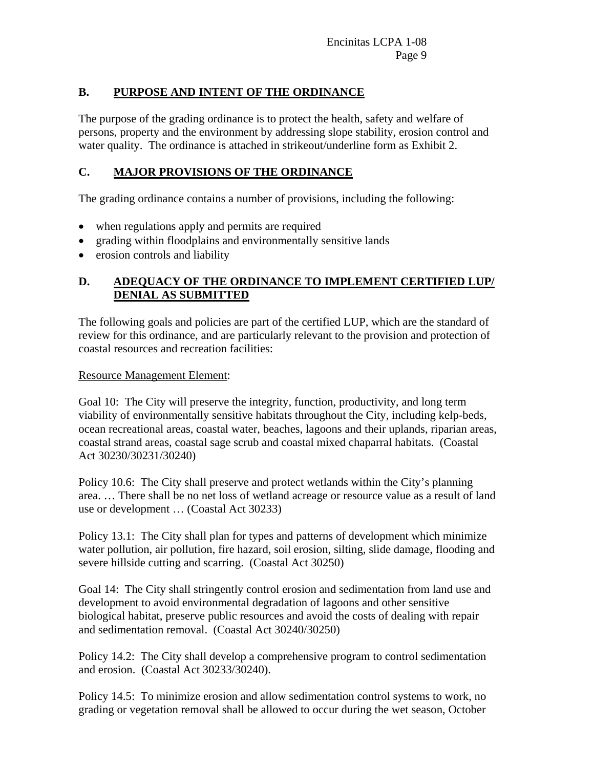# **B. PURPOSE AND INTENT OF THE ORDINANCE**

The purpose of the grading ordinance is to protect the health, safety and welfare of persons, property and the environment by addressing slope stability, erosion control and water quality. The ordinance is attached in strikeout/underline form as Exhibit 2.

## **C. MAJOR PROVISIONS OF THE ORDINANCE**

The grading ordinance contains a number of provisions, including the following:

- when regulations apply and permits are required
- grading within floodplains and environmentally sensitive lands
- erosion controls and liability

# **D. ADEQUACY OF THE ORDINANCE TO IMPLEMENT CERTIFIED LUP/ DENIAL AS SUBMITTED**

The following goals and policies are part of the certified LUP, which are the standard of review for this ordinance, and are particularly relevant to the provision and protection of coastal resources and recreation facilities:

#### Resource Management Element:

Goal 10: The City will preserve the integrity, function, productivity, and long term viability of environmentally sensitive habitats throughout the City, including kelp-beds, ocean recreational areas, coastal water, beaches, lagoons and their uplands, riparian areas, coastal strand areas, coastal sage scrub and coastal mixed chaparral habitats. (Coastal Act 30230/30231/30240)

Policy 10.6: The City shall preserve and protect wetlands within the City's planning area. … There shall be no net loss of wetland acreage or resource value as a result of land use or development … (Coastal Act 30233)

Policy 13.1: The City shall plan for types and patterns of development which minimize water pollution, air pollution, fire hazard, soil erosion, silting, slide damage, flooding and severe hillside cutting and scarring. (Coastal Act 30250)

Goal 14: The City shall stringently control erosion and sedimentation from land use and development to avoid environmental degradation of lagoons and other sensitive biological habitat, preserve public resources and avoid the costs of dealing with repair and sedimentation removal. (Coastal Act 30240/30250)

Policy 14.2: The City shall develop a comprehensive program to control sedimentation and erosion. (Coastal Act 30233/30240).

Policy 14.5: To minimize erosion and allow sedimentation control systems to work, no grading or vegetation removal shall be allowed to occur during the wet season, October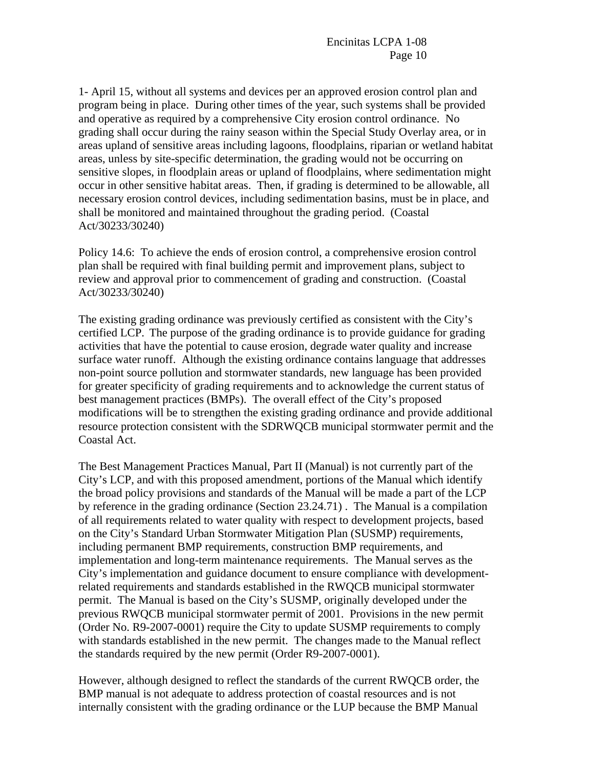1- April 15, without all systems and devices per an approved erosion control plan and program being in place. During other times of the year, such systems shall be provided and operative as required by a comprehensive City erosion control ordinance. No grading shall occur during the rainy season within the Special Study Overlay area, or in areas upland of sensitive areas including lagoons, floodplains, riparian or wetland habitat areas, unless by site-specific determination, the grading would not be occurring on sensitive slopes, in floodplain areas or upland of floodplains, where sedimentation might occur in other sensitive habitat areas. Then, if grading is determined to be allowable, all necessary erosion control devices, including sedimentation basins, must be in place, and shall be monitored and maintained throughout the grading period. (Coastal Act/30233/30240)

Policy 14.6: To achieve the ends of erosion control, a comprehensive erosion control plan shall be required with final building permit and improvement plans, subject to review and approval prior to commencement of grading and construction. (Coastal Act/30233/30240)

The existing grading ordinance was previously certified as consistent with the City's certified LCP. The purpose of the grading ordinance is to provide guidance for grading activities that have the potential to cause erosion, degrade water quality and increase surface water runoff. Although the existing ordinance contains language that addresses non-point source pollution and stormwater standards, new language has been provided for greater specificity of grading requirements and to acknowledge the current status of best management practices (BMPs). The overall effect of the City's proposed modifications will be to strengthen the existing grading ordinance and provide additional resource protection consistent with the SDRWQCB municipal stormwater permit and the Coastal Act.

The Best Management Practices Manual, Part II (Manual) is not currently part of the City's LCP, and with this proposed amendment, portions of the Manual which identify the broad policy provisions and standards of the Manual will be made a part of the LCP by reference in the grading ordinance (Section 23.24.71) . The Manual is a compilation of all requirements related to water quality with respect to development projects, based on the City's Standard Urban Stormwater Mitigation Plan (SUSMP) requirements, including permanent BMP requirements, construction BMP requirements, and implementation and long-term maintenance requirements. The Manual serves as the City's implementation and guidance document to ensure compliance with developmentrelated requirements and standards established in the RWQCB municipal stormwater permit. The Manual is based on the City's SUSMP, originally developed under the previous RWQCB municipal stormwater permit of 2001. Provisions in the new permit (Order No. R9-2007-0001) require the City to update SUSMP requirements to comply with standards established in the new permit. The changes made to the Manual reflect the standards required by the new permit (Order R9-2007-0001).

However, although designed to reflect the standards of the current RWQCB order, the BMP manual is not adequate to address protection of coastal resources and is not internally consistent with the grading ordinance or the LUP because the BMP Manual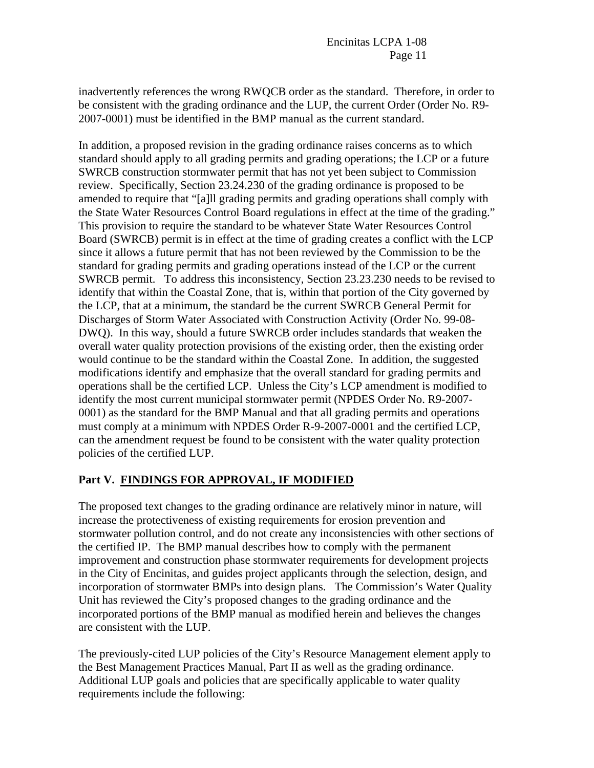inadvertently references the wrong RWQCB order as the standard. Therefore, in order to be consistent with the grading ordinance and the LUP, the current Order (Order No. R9- 2007-0001) must be identified in the BMP manual as the current standard.

In addition, a proposed revision in the grading ordinance raises concerns as to which standard should apply to all grading permits and grading operations; the LCP or a future SWRCB construction stormwater permit that has not yet been subject to Commission review. Specifically, Section 23.24.230 of the grading ordinance is proposed to be amended to require that "[a]ll grading permits and grading operations shall comply with the State Water Resources Control Board regulations in effect at the time of the grading." This provision to require the standard to be whatever State Water Resources Control Board (SWRCB) permit is in effect at the time of grading creates a conflict with the LCP since it allows a future permit that has not been reviewed by the Commission to be the standard for grading permits and grading operations instead of the LCP or the current SWRCB permit. To address this inconsistency, Section 23.23.230 needs to be revised to identify that within the Coastal Zone, that is, within that portion of the City governed by the LCP, that at a minimum, the standard be the current SWRCB General Permit for Discharges of Storm Water Associated with Construction Activity (Order No. 99-08- DWQ). In this way, should a future SWRCB order includes standards that weaken the overall water quality protection provisions of the existing order, then the existing order would continue to be the standard within the Coastal Zone. In addition, the suggested modifications identify and emphasize that the overall standard for grading permits and operations shall be the certified LCP. Unless the City's LCP amendment is modified to identify the most current municipal stormwater permit (NPDES Order No. R9-2007- 0001) as the standard for the BMP Manual and that all grading permits and operations must comply at a minimum with NPDES Order R-9-2007-0001 and the certified LCP, can the amendment request be found to be consistent with the water quality protection policies of the certified LUP.

# **Part V. FINDINGS FOR APPROVAL, IF MODIFIED**

The proposed text changes to the grading ordinance are relatively minor in nature, will increase the protectiveness of existing requirements for erosion prevention and stormwater pollution control, and do not create any inconsistencies with other sections of the certified IP. The BMP manual describes how to comply with the permanent improvement and construction phase stormwater requirements for development projects in the City of Encinitas, and guides project applicants through the selection, design, and incorporation of stormwater BMPs into design plans. The Commission's Water Quality Unit has reviewed the City's proposed changes to the grading ordinance and the incorporated portions of the BMP manual as modified herein and believes the changes are consistent with the LUP.

The previously-cited LUP policies of the City's Resource Management element apply to the Best Management Practices Manual, Part II as well as the grading ordinance. Additional LUP goals and policies that are specifically applicable to water quality requirements include the following: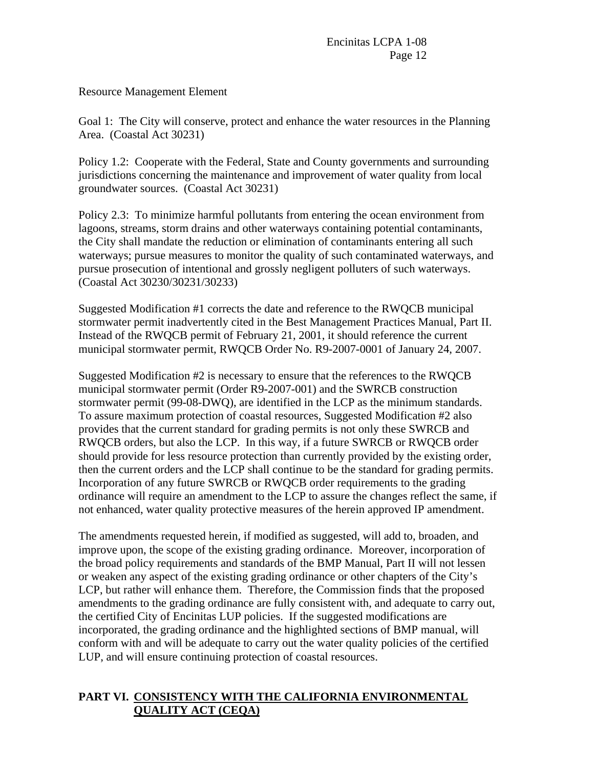Resource Management Element

Goal 1: The City will conserve, protect and enhance the water resources in the Planning Area. (Coastal Act 30231)

Policy 1.2: Cooperate with the Federal, State and County governments and surrounding jurisdictions concerning the maintenance and improvement of water quality from local groundwater sources. (Coastal Act 30231)

Policy 2.3: To minimize harmful pollutants from entering the ocean environment from lagoons, streams, storm drains and other waterways containing potential contaminants, the City shall mandate the reduction or elimination of contaminants entering all such waterways; pursue measures to monitor the quality of such contaminated waterways, and pursue prosecution of intentional and grossly negligent polluters of such waterways. (Coastal Act 30230/30231/30233)

Suggested Modification #1 corrects the date and reference to the RWQCB municipal stormwater permit inadvertently cited in the Best Management Practices Manual, Part II. Instead of the RWQCB permit of February 21, 2001, it should reference the current municipal stormwater permit, RWQCB Order No. R9-2007-0001 of January 24, 2007.

Suggested Modification #2 is necessary to ensure that the references to the RWQCB municipal stormwater permit (Order R9-2007-001) and the SWRCB construction stormwater permit (99-08-DWQ), are identified in the LCP as the minimum standards. To assure maximum protection of coastal resources, Suggested Modification #2 also provides that the current standard for grading permits is not only these SWRCB and RWQCB orders, but also the LCP. In this way, if a future SWRCB or RWQCB order should provide for less resource protection than currently provided by the existing order, then the current orders and the LCP shall continue to be the standard for grading permits. Incorporation of any future SWRCB or RWQCB order requirements to the grading ordinance will require an amendment to the LCP to assure the changes reflect the same, if not enhanced, water quality protective measures of the herein approved IP amendment.

The amendments requested herein, if modified as suggested, will add to, broaden, and improve upon, the scope of the existing grading ordinance. Moreover, incorporation of the broad policy requirements and standards of the BMP Manual, Part II will not lessen or weaken any aspect of the existing grading ordinance or other chapters of the City's LCP, but rather will enhance them. Therefore, the Commission finds that the proposed amendments to the grading ordinance are fully consistent with, and adequate to carry out, the certified City of Encinitas LUP policies. If the suggested modifications are incorporated, the grading ordinance and the highlighted sections of BMP manual, will conform with and will be adequate to carry out the water quality policies of the certified LUP, and will ensure continuing protection of coastal resources.

# **PART VI. CONSISTENCY WITH THE CALIFORNIA ENVIRONMENTAL QUALITY ACT (CEQA)**